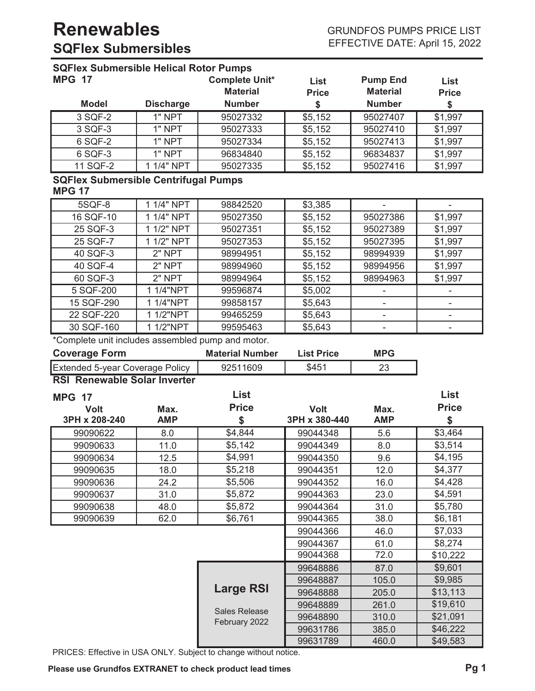| <b>SQFlex Submersible Helical Rotor Pumps</b>     |                  |                        |                   |                          |              |
|---------------------------------------------------|------------------|------------------------|-------------------|--------------------------|--------------|
| <b>MPG 17</b>                                     |                  | <b>Complete Unit*</b>  | <b>List</b>       | <b>Pump End</b>          | List         |
|                                                   |                  | <b>Material</b>        | <b>Price</b>      | <b>Material</b>          | <b>Price</b> |
| <b>Model</b>                                      | <b>Discharge</b> | <b>Number</b>          | \$                | <b>Number</b>            | \$           |
| 3 SQF-2                                           | $1"$ NPT         | 95027332               | \$5,152           | 95027407                 | \$1,997      |
| 3 SQF-3                                           | 1" NPT           | 95027333               | \$5,152           | 95027410                 | \$1,997      |
| 6 SQF-2                                           | 1" NPT           | 95027334               | \$5,152           | 95027413                 | \$1,997      |
| 6 SQF-3                                           | 1" NPT           | 96834840               | \$5,152           | 96834837                 | \$1,997      |
| 11 SQF-2                                          | 1 1/4" NPT       | 95027335               | \$5,152           | 95027416                 | \$1,997      |
| <b>SQFlex Submersible Centrifugal Pumps</b>       |                  |                        |                   |                          |              |
| <b>MPG 17</b>                                     |                  |                        |                   |                          |              |
| 5SQF-8                                            | 1 1/4" NPT       | 98842520               | \$3,385           |                          |              |
| 16 SQF-10                                         | 1 1/4" NPT       | 95027350               | \$5,152           | 95027386                 | \$1,997      |
| 25 SQF-3                                          | 1 1/2" NPT       | 95027351               | \$5,152           | 95027389                 | \$1,997      |
| 25 SQF-7                                          | 1 1/2" NPT       | 95027353               | \$5,152           | 95027395                 | \$1,997      |
| 40 SQF-3                                          | 2" NPT           | 98994951               | \$5,152           | 98994939                 | \$1,997      |
| 40 SQF-4                                          | 2" NPT           | 98994960               | \$5,152           | 98994956                 | \$1,997      |
| 60 SQF-3                                          | 2" NPT           | 98994964               | \$5,152           | 98994963                 | \$1,997      |
| 5 SQF-200                                         | 1 1/4"NPT        | 99596874               | \$5,002           |                          |              |
| 15 SQF-290                                        | 1 1/4"NPT        | 99858157               | \$5,643           | $\overline{\phantom{0}}$ |              |
| 22 SQF-220                                        | 1 1/2"NPT        | 99465259               | \$5,643           |                          |              |
| 30 SQF-160                                        | 1 1/2"NPT        | 99595463               | \$5,643           |                          |              |
| *Complete unit includes assembled pump and motor. |                  |                        |                   |                          |              |
| <b>Coverage Form</b>                              |                  | <b>Material Number</b> | <b>List Price</b> | <b>MPG</b>               |              |
| Extended 5-year Coverage Policy                   |                  |                        |                   |                          |              |
|                                                   |                  | 92511609               | \$451             | 23                       |              |
| <b>RSI Renewable Solar Inverter</b>               |                  |                        |                   |                          |              |
| <b>MPG 17</b>                                     |                  | <b>List</b>            |                   |                          | List         |
| <b>Volt</b>                                       | Max.             | <b>Price</b>           | <b>Volt</b>       | Max.                     | <b>Price</b> |
| 3PH x 208-240                                     | <b>AMP</b>       | \$                     | 3PH x 380-440     | <b>AMP</b>               | \$           |
| 99090622                                          | 8.0              | \$4,844                | 99044348          | 5.6                      | \$3,464      |
| 99090633                                          | 11.0             | \$5,142                | 99044349          | 8.0                      | \$3,514      |
| 99090634                                          | 12.5             | \$4,991                | 99044350          | 9.6                      | \$4,195      |
| 99090635                                          | 18.0             | \$5,218                | 99044351          | 12.0                     | \$4,377      |
| 99090636                                          | 24.2             | \$5,506                | 99044352          | 16.0                     | \$4,428      |
| 99090637                                          | 31.0             | \$5,872                | 99044363          | 23.0                     | \$4,591      |
| 99090638                                          | 48.0             | \$5,872                | 99044364          | 31.0                     | \$5,780      |
| 99090639                                          | 62.0             | \$6,761                | 99044365          | 38.0                     | \$6,181      |
|                                                   |                  |                        | 99044366          | 46.0                     | \$7,033      |
|                                                   |                  |                        | 99044367          | 61.0                     | \$8,274      |
|                                                   |                  |                        | 99044368          | 72.0                     | \$10,222     |
|                                                   |                  |                        | 99648886          | 87.0                     | \$9,601      |
|                                                   |                  |                        | 99648887          | 105.0                    | \$9,985      |
|                                                   |                  | <b>Large RSI</b>       | 99648888          | 205.0                    | \$13,113     |
|                                                   |                  |                        | 99648889          | 261.0                    | \$19,610     |
|                                                   |                  | <b>Sales Release</b>   | 99648890          | 310.0                    | \$21,091     |
|                                                   |                  | February 2022          | 99631786          | 385.0                    | \$46,222     |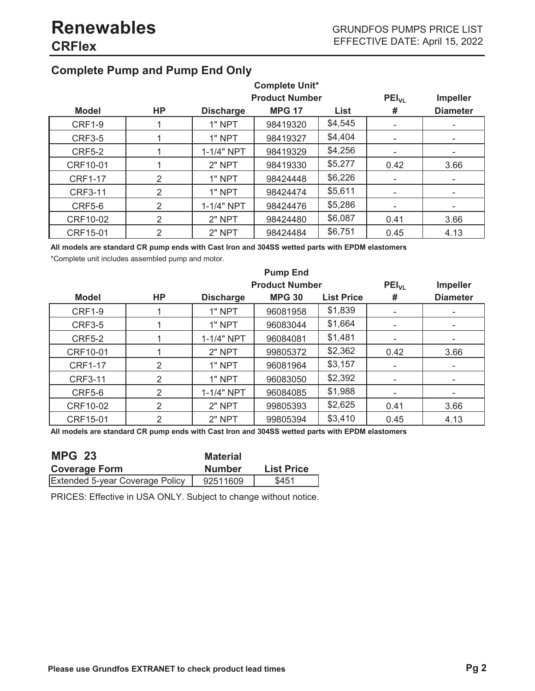### **Complete Pump and Pump End Only**

| <b>Complete Unit*</b> |           |                  |                       |         |                          |                 |
|-----------------------|-----------|------------------|-----------------------|---------|--------------------------|-----------------|
|                       |           |                  | <b>Product Number</b> |         | $PEI_{VL}$               | <b>Impeller</b> |
| <b>Model</b>          | <b>HP</b> | <b>Discharge</b> | <b>MPG 17</b>         | List    | #                        | <b>Diameter</b> |
| <b>CRF1-9</b>         |           | 1" NPT           | 98419320              | \$4,545 |                          |                 |
| <b>CRF3-5</b>         |           | 1" NPT           | 98419327              | \$4,404 |                          |                 |
| <b>CRF5-2</b>         |           | 1-1/4" NPT       | 98419329              | \$4,256 |                          |                 |
| CRF10-01              |           | 2" NPT           | 98419330              | \$5,277 | 0.42                     | 3.66            |
| <b>CRF1-17</b>        | 2         | 1" NPT           | 98424448              | \$6,226 | $\overline{\phantom{a}}$ |                 |
| <b>CRF3-11</b>        | 2         | 1" NPT           | 98424474              | \$5,611 |                          |                 |
| <b>CRF5-6</b>         | 2         | 1-1/4" NPT       | 98424476              | \$5,286 |                          |                 |
| CRF10-02              | 2         | 2" NPT           | 98424480              | \$6,087 | 0.41                     | 3.66            |
| CRF15-01              | 2         | 2" NPT           | 98424484              | \$6,751 | 0.45                     | 4.13            |

**All models are standard CR pump ends with Cast Iron and 304SS wetted parts with EPDM elastomers**

\*Complete unit includes assembled pump and motor.

| <b>Pump End</b> |           |                  |                       |                   |                 |                          |
|-----------------|-----------|------------------|-----------------------|-------------------|-----------------|--------------------------|
|                 |           |                  | <b>Product Number</b> | $PEI_{VL}$        | <b>Impeller</b> |                          |
| <b>Model</b>    | <b>HP</b> | <b>Discharge</b> | <b>MPG 30</b>         | <b>List Price</b> | #               | <b>Diameter</b>          |
| <b>CRF1-9</b>   |           | 1" NPT           | 96081958              | \$1,839           |                 |                          |
| <b>CRF3-5</b>   |           | 1" NPT           | 96083044              | \$1,664           |                 |                          |
| <b>CRF5-2</b>   |           | 1-1/4" NPT       | 96084081              | \$1,481           |                 |                          |
| CRF10-01        |           | 2" NPT           | 99805372              | \$2,362           | 0.42            | 3.66                     |
| <b>CRF1-17</b>  | 2         | 1" NPT           | 96081964              | \$3,157           |                 |                          |
| <b>CRF3-11</b>  | 2         | 1" NPT           | 96083050              | \$2,392           |                 | $\overline{\phantom{a}}$ |
| <b>CRF5-6</b>   | 2         | 1-1/4" NPT       | 96084085              | \$1,988           |                 |                          |
| CRF10-02        | 2         | $2"$ NPT         | 99805393              | \$2,625           | 0.41            | 3.66                     |
| CRF15-01        | 2         | 2" NPT           | 99805394              | \$3,410           | 0.45            | 4.13                     |

**All models are standard CR pump ends with Cast Iron and 304SS wetted parts with EPDM elastomers**

| <b>MPG 23</b>                          | <b>Material</b> |                   |
|----------------------------------------|-----------------|-------------------|
| <b>Coverage Form</b>                   | <b>Number</b>   | <b>List Price</b> |
| <b>Extended 5-year Coverage Policy</b> | 92511609        | \$451             |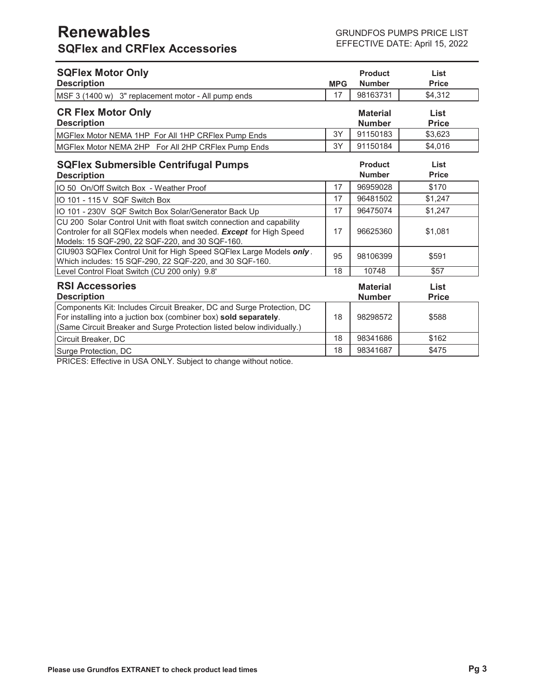## **Renewables SQFlex and CRFlex Accessories**

| <b>SQFlex Motor Only</b><br><b>Description</b>                                                                                                                                                                       | <b>MPG</b> | <b>Product</b><br><b>Number</b>  | List<br><b>Price</b> |
|----------------------------------------------------------------------------------------------------------------------------------------------------------------------------------------------------------------------|------------|----------------------------------|----------------------|
| MSF 3 (1400 w) 3" replacement motor - All pump ends                                                                                                                                                                  | 17         | 98163731                         | \$4,312              |
| <b>CR Flex Motor Only</b><br><b>Description</b>                                                                                                                                                                      |            | <b>Material</b><br><b>Number</b> | List<br><b>Price</b> |
| MGFlex Motor NEMA 1HP For All 1HP CRFlex Pump Ends                                                                                                                                                                   | 3Y         | 91150183                         | \$3,623              |
| MGFlex Motor NEMA 2HP For All 2HP CRFlex Pump Ends                                                                                                                                                                   | 3Y         | 91150184                         | \$4,016              |
| <b>SQFlex Submersible Centrifugal Pumps</b><br><b>Description</b>                                                                                                                                                    |            | <b>Product</b><br><b>Number</b>  | List<br><b>Price</b> |
| IO 50 On/Off Switch Box - Weather Proof                                                                                                                                                                              | 17         | 96959028                         | \$170                |
| IO 101 - 115 V SQF Switch Box                                                                                                                                                                                        | 17         | 96481502                         | \$1,247              |
| IO 101 - 230V SQF Switch Box Solar/Generator Back Up                                                                                                                                                                 | 17         | 96475074                         | \$1,247              |
| CU 200 Solar Control Unit with float switch connection and capability<br>Controler for all SQFlex models when needed. Except for High Speed<br>Models: 15 SQF-290, 22 SQF-220, and 30 SQF-160.                       | 17         | 96625360                         | \$1,081              |
| CIU903 SQFlex Control Unit for High Speed SQFlex Large Models only.<br>Which includes: 15 SQF-290, 22 SQF-220, and 30 SQF-160.                                                                                       | 95         | 98106399                         | \$591                |
| Level Control Float Switch (CU 200 only) 9.8'                                                                                                                                                                        | 18         | 10748                            | \$57                 |
| <b>RSI Accessories</b><br><b>Description</b>                                                                                                                                                                         |            | <b>Material</b><br><b>Number</b> | List<br><b>Price</b> |
| Components Kit: Includes Circuit Breaker, DC and Surge Protection, DC<br>For installing into a juction box (combiner box) sold separately.<br>(Same Circuit Breaker and Surge Protection listed below individually.) | 18         | 98298572                         | \$588                |
| Circuit Breaker, DC                                                                                                                                                                                                  | 18         | 98341686                         | \$162                |
| Surge Protection, DC                                                                                                                                                                                                 | 18         | 98341687                         | \$475                |